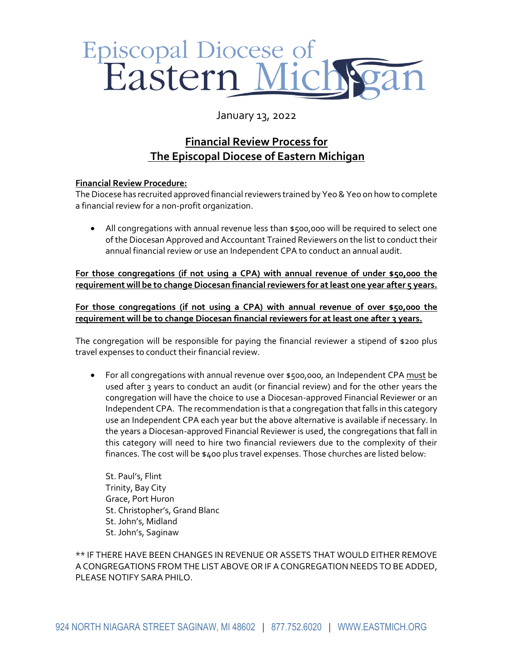## Episcopal Diocese of<br>Eastern Mich

## January 13, 2022

## **Financial Review Process for The Episcopal Diocese of Eastern Michigan**

## **Financial Review Procedure:**

The Diocese has recruited approved financial reviewers trained by Yeo & Yeo on how to complete a financial review for a non-profit organization.

 All congregations with annual revenue less than \$500,000 will be required to select one of the Diocesan Approved and Accountant Trained Reviewers on the list to conduct their annual financial review or use an Independent CPA to conduct an annual audit.

**For those congregations (if not using a CPA) with annual revenue of under \$50,000 the requirement will be to change Diocesan financial reviewers for at least one year after 5 years.**

**For those congregations (if not using a CPA) with annual revenue of over \$50,000 the requirement will be to change Diocesan financial reviewers for at least one after 3 years.**

The congregation will be responsible for paying the financial reviewer a stipend of \$200 plus travel expenses to conduct their financial review.

 For all congregations with annual revenue over \$500,000, an Independent CPA must be used after 3 years to conduct an audit (or financial review) and for the other years the congregation will have the choice to use a Diocesan-approved Financial Reviewer or an Independent CPA. The recommendation is that a congregation that falls in this category use an Independent CPA each year but the above alternative is available if necessary. In the years a Diocesan-approved Financial Reviewer is used, the congregations that fall in this category will need to hire two financial reviewers due to the complexity of their finances. The cost will be \$400 plus travel expenses. Those churches are listed below:

St. Paul's, Flint Trinity, Bay City Grace, Port Huron St. Christopher's, Grand Blanc St. John's, Midland St. John's, Saginaw

\*\* IF THERE HAVE BEEN CHANGES IN REVENUE OR ASSETS THAT WOULD EITHER REMOVE A CONGREGATIONS FROM THE LIST ABOVE OR IF A CONGREGATION NEEDS TO BE ADDED, PLEASE NOTIFY SARA PHILO.